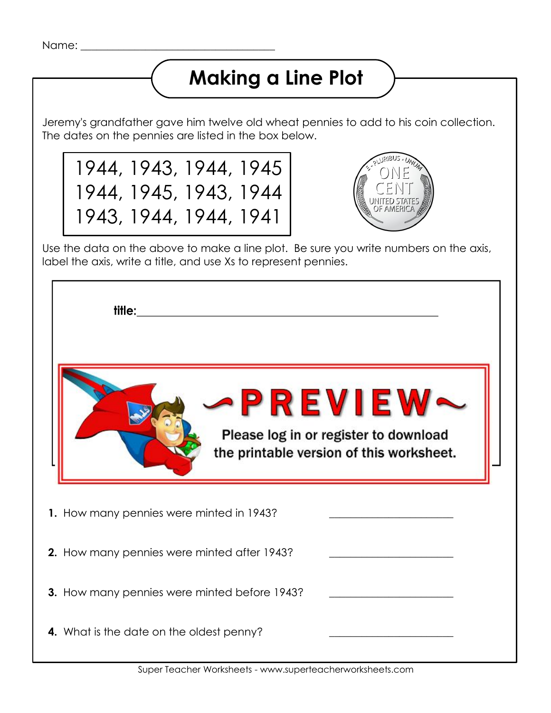## **Making a Line Plot**

Jeremy's grandfather gave him twelve old wheat pennies to add to his coin collection. The dates on the pennies are listed in the box below.

1944, 1943, 1944, 1945 1944, 1945, 1943, 1944 1943, 1944, 1944, 1941



Use the data on the above to make a line plot. Be sure you write numbers on the axis, label the axis, write a title, and use Xs to represent pennies.

| <b>PREVIEW~</b><br>Please log in or register to download<br>the printable version of this worksheet. |  |
|------------------------------------------------------------------------------------------------------|--|
| 1. How many pennies were minted in 1943?                                                             |  |
| 2. How many pennies were minted after 1943?                                                          |  |
| 3. How many pennies were minted before 1943?                                                         |  |
| 4. What is the date on the oldest penny?                                                             |  |